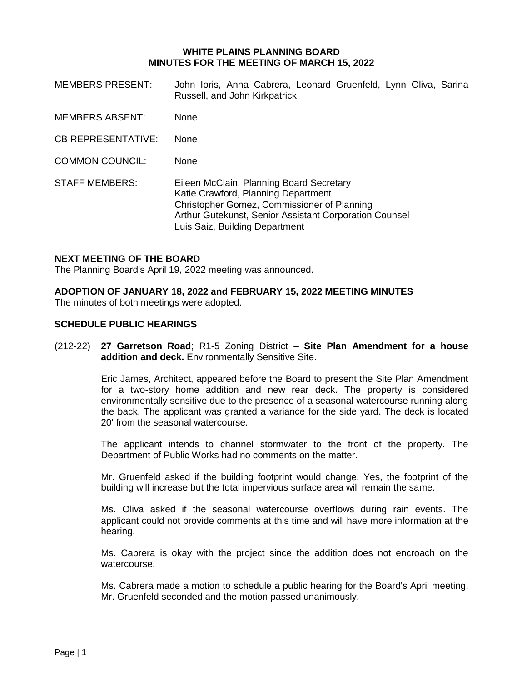## **WHITE PLAINS PLANNING BOARD MINUTES FOR THE MEETING OF MARCH 15, 2022**

- MEMBERS PRESENT: John Ioris, Anna Cabrera, Leonard Gruenfeld, Lynn Oliva, Sarina Russell, and John Kirkpatrick
- MEMBERS ABSENT: None
- CB REPRESENTATIVE: None
- COMMON COUNCIL: None
- STAFF MEMBERS: Eileen McClain, Planning Board Secretary Katie Crawford, Planning Department Christopher Gomez, Commissioner of Planning Arthur Gutekunst, Senior Assistant Corporation Counsel Luis Saiz, Building Department

#### **NEXT MEETING OF THE BOARD**

The Planning Board's April 19, 2022 meeting was announced.

# **ADOPTION OF JANUARY 18, 2022 and FEBRUARY 15, 2022 MEETING MINUTES**

The minutes of both meetings were adopted.

## **SCHEDULE PUBLIC HEARINGS**

(212-22) **27 Garretson Road**; R1-5 Zoning District – **Site Plan Amendment for a house addition and deck.** Environmentally Sensitive Site.

> Eric James, Architect, appeared before the Board to present the Site Plan Amendment for a two-story home addition and new rear deck. The property is considered environmentally sensitive due to the presence of a seasonal watercourse running along the back. The applicant was granted a variance for the side yard. The deck is located 20' from the seasonal watercourse.

> The applicant intends to channel stormwater to the front of the property. The Department of Public Works had no comments on the matter.

> Mr. Gruenfeld asked if the building footprint would change. Yes, the footprint of the building will increase but the total impervious surface area will remain the same.

> Ms. Oliva asked if the seasonal watercourse overflows during rain events. The applicant could not provide comments at this time and will have more information at the hearing.

> Ms. Cabrera is okay with the project since the addition does not encroach on the watercourse.

> Ms. Cabrera made a motion to schedule a public hearing for the Board's April meeting, Mr. Gruenfeld seconded and the motion passed unanimously.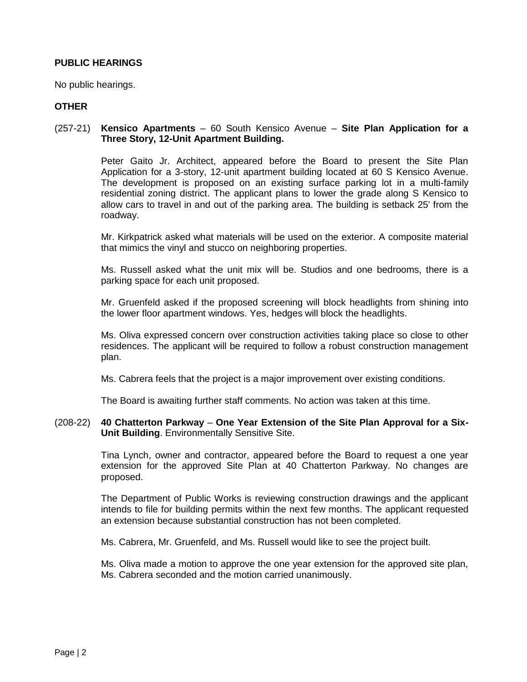# **PUBLIC HEARINGS**

No public hearings.

# **OTHER**

#### (257-21) **Kensico Apartments** – 60 South Kensico Avenue – **Site Plan Application for a Three Story, 12-Unit Apartment Building.**

Peter Gaito Jr. Architect, appeared before the Board to present the Site Plan Application for a 3-story, 12-unit apartment building located at 60 S Kensico Avenue. The development is proposed on an existing surface parking lot in a multi-family residential zoning district. The applicant plans to lower the grade along S Kensico to allow cars to travel in and out of the parking area. The building is setback 25' from the roadway.

Mr. Kirkpatrick asked what materials will be used on the exterior. A composite material that mimics the vinyl and stucco on neighboring properties.

Ms. Russell asked what the unit mix will be. Studios and one bedrooms, there is a parking space for each unit proposed.

Mr. Gruenfeld asked if the proposed screening will block headlights from shining into the lower floor apartment windows. Yes, hedges will block the headlights.

Ms. Oliva expressed concern over construction activities taking place so close to other residences. The applicant will be required to follow a robust construction management plan.

Ms. Cabrera feels that the project is a major improvement over existing conditions.

The Board is awaiting further staff comments. No action was taken at this time.

## (208-22) **40 Chatterton Parkway** – **One Year Extension of the Site Plan Approval for a Six-Unit Building**. Environmentally Sensitive Site.

Tina Lynch, owner and contractor, appeared before the Board to request a one year extension for the approved Site Plan at 40 Chatterton Parkway. No changes are proposed.

The Department of Public Works is reviewing construction drawings and the applicant intends to file for building permits within the next few months. The applicant requested an extension because substantial construction has not been completed.

Ms. Cabrera, Mr. Gruenfeld, and Ms. Russell would like to see the project built.

Ms. Oliva made a motion to approve the one year extension for the approved site plan, Ms. Cabrera seconded and the motion carried unanimously.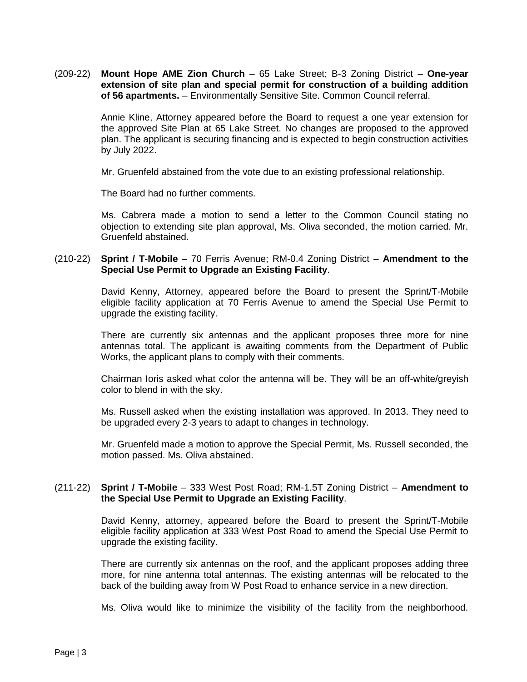(209-22) **Mount Hope AME Zion Church** – 65 Lake Street; B-3 Zoning District – **One-year extension of site plan and special permit for construction of a building addition of 56 apartments.** – Environmentally Sensitive Site. Common Council referral.

> Annie Kline, Attorney appeared before the Board to request a one year extension for the approved Site Plan at 65 Lake Street. No changes are proposed to the approved plan. The applicant is securing financing and is expected to begin construction activities by July 2022.

Mr. Gruenfeld abstained from the vote due to an existing professional relationship.

The Board had no further comments.

Ms. Cabrera made a motion to send a letter to the Common Council stating no objection to extending site plan approval, Ms. Oliva seconded, the motion carried. Mr. Gruenfeld abstained.

## (210-22) **Sprint / T-Mobile** – 70 Ferris Avenue; RM-0.4 Zoning District – **Amendment to the Special Use Permit to Upgrade an Existing Facility**.

David Kenny, Attorney, appeared before the Board to present the Sprint/T-Mobile eligible facility application at 70 Ferris Avenue to amend the Special Use Permit to upgrade the existing facility.

There are currently six antennas and the applicant proposes three more for nine antennas total. The applicant is awaiting comments from the Department of Public Works, the applicant plans to comply with their comments.

Chairman Ioris asked what color the antenna will be. They will be an off-white/greyish color to blend in with the sky.

Ms. Russell asked when the existing installation was approved. In 2013. They need to be upgraded every 2-3 years to adapt to changes in technology.

Mr. Gruenfeld made a motion to approve the Special Permit, Ms. Russell seconded, the motion passed. Ms. Oliva abstained.

# (211-22) **Sprint / T-Mobile** – 333 West Post Road; RM-1.5T Zoning District – **Amendment to the Special Use Permit to Upgrade an Existing Facility**.

David Kenny, attorney, appeared before the Board to present the Sprint/T-Mobile eligible facility application at 333 West Post Road to amend the Special Use Permit to upgrade the existing facility.

There are currently six antennas on the roof, and the applicant proposes adding three more, for nine antenna total antennas. The existing antennas will be relocated to the back of the building away from W Post Road to enhance service in a new direction.

Ms. Oliva would like to minimize the visibility of the facility from the neighborhood.